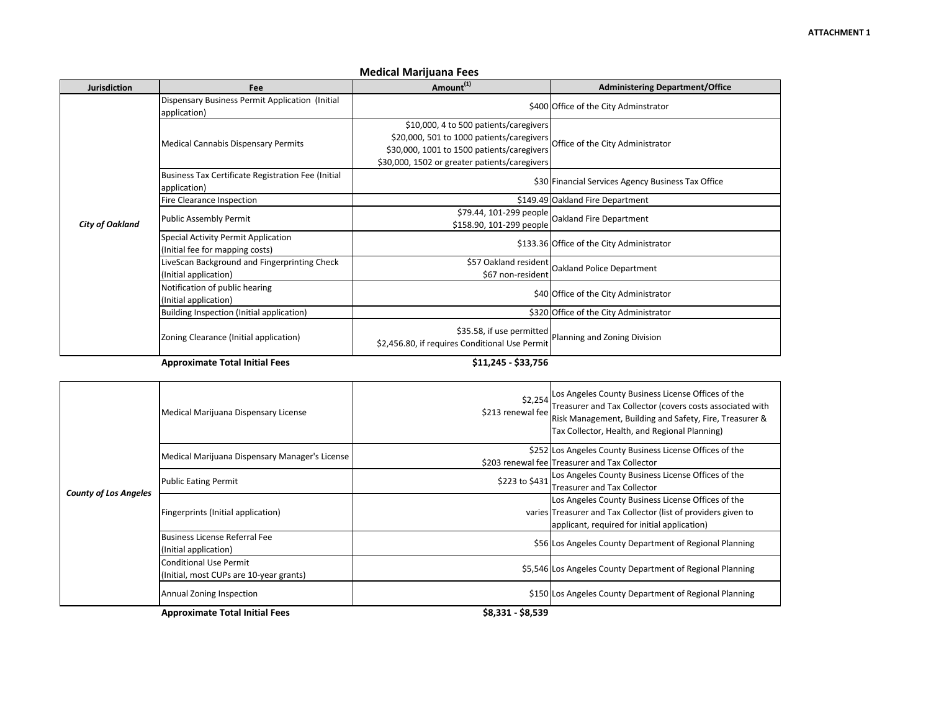| <b>Jurisdiction</b>    | Fee                                                                    | Amount <sup>(1)</sup>                                                                                                                                                                                               | <b>Administering Department/Office</b>             |
|------------------------|------------------------------------------------------------------------|---------------------------------------------------------------------------------------------------------------------------------------------------------------------------------------------------------------------|----------------------------------------------------|
| <b>City of Oakland</b> | Dispensary Business Permit Application (Initial<br>application)        |                                                                                                                                                                                                                     | \$400 Office of the City Adminstrator              |
|                        | <b>Medical Cannabis Dispensary Permits</b>                             | \$10,000, 4 to 500 patients/caregivers<br>\$20,000, 501 to 1000 patients/caregivers Office of the City Administrator<br>\$30,000, 1001 to 1500 patients/caregivers<br>\$30,000, 1502 or greater patients/caregivers |                                                    |
|                        | Business Tax Certificate Registration Fee (Initial<br>application)     |                                                                                                                                                                                                                     | \$30 Financial Services Agency Business Tax Office |
|                        | Fire Clearance Inspection                                              |                                                                                                                                                                                                                     | \$149.49 Oakland Fire Department                   |
|                        | Public Assembly Permit                                                 | \$158.90, 101-299 people                                                                                                                                                                                            | \$79.44, 101-299 people   Oakland Fire Department  |
|                        | Special Activity Permit Application<br>(Initial fee for mapping costs) |                                                                                                                                                                                                                     | \$133.36 Office of the City Administrator          |
|                        | LiveScan Background and Fingerprinting Check<br>(Initial application)  | \$57 Oakland resident<br>\$67 non-resident                                                                                                                                                                          | Oakland Police Department                          |
|                        | Notification of public hearing<br>(Initial application)                |                                                                                                                                                                                                                     | \$40 Office of the City Administrator              |
|                        | Building Inspection (Initial application)                              |                                                                                                                                                                                                                     | \$320 Office of the City Administrator             |
|                        | Zoning Clearance (Initial application)                                 | \$35.58, if use permitted<br>\$2,456.80, if requires Conditional Use Permit                                                                                                                                         | Planning and Zoning Division                       |
|                        | <b>Approximate Total Initial Fees</b>                                  | \$11,245 - \$33,756                                                                                                                                                                                                 |                                                    |

## **Medical Marijuana Fees**

| <b>County of Los Angeles</b> | Medical Marijuana Dispensary License                   | \$213 renewal fee | \$2,254 Los Angeles County Business License Offices of the<br>Treasurer and Tax Collector (covers costs associated with<br>Risk Management, Building and Safety, Fire, Treasurer &<br>Tax Collector, Health, and Regional Planning) |
|------------------------------|--------------------------------------------------------|-------------------|-------------------------------------------------------------------------------------------------------------------------------------------------------------------------------------------------------------------------------------|
|                              | Medical Marijuana Dispensary Manager's License         |                   | \$252 Los Angeles County Business License Offices of the                                                                                                                                                                            |
|                              |                                                        |                   | \$203 renewal fee Treasurer and Tax Collector                                                                                                                                                                                       |
|                              | <b>Public Eating Permit</b>                            | \$223 to \$431    | Los Angeles County Business License Offices of the                                                                                                                                                                                  |
|                              |                                                        |                   | <b>Treasurer and Tax Collector</b>                                                                                                                                                                                                  |
|                              | Fingerprints (Initial application)                     |                   | Los Angeles County Business License Offices of the                                                                                                                                                                                  |
|                              |                                                        |                   | varies Treasurer and Tax Collector (list of providers given to                                                                                                                                                                      |
|                              |                                                        |                   | applicant, required for initial application)                                                                                                                                                                                        |
|                              | Business License Referral Fee<br>(Initial application) |                   | \$56 Los Angeles County Department of Regional Planning                                                                                                                                                                             |
|                              | <b>Conditional Use Permit</b>                          |                   | \$5,546 Los Angeles County Department of Regional Planning                                                                                                                                                                          |
|                              | (Initial, most CUPs are 10-year grants)                |                   |                                                                                                                                                                                                                                     |
|                              | Annual Zoning Inspection                               |                   | \$150 Los Angeles County Department of Regional Planning                                                                                                                                                                            |
|                              | <b>Approximate Total Initial Fees</b>                  | \$8,331 - \$8,539 |                                                                                                                                                                                                                                     |